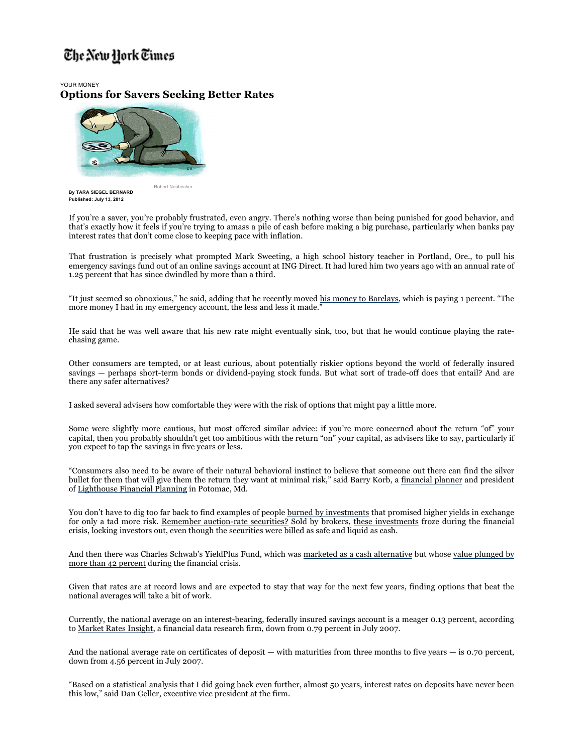## The New York Times

YOUR MONEY **Options for Savers Seeking Better Rates**

Robert Neubecker



**By TARA SIEGEL BERNARD Published: July 13, 2012**

If you're a saver, you're probably frustrated, even angry. There's nothing worse than being punished for good behavior, and that's exactly how it feels if you're trying to amass a pile of cash before making a big purchase, particularly when banks pay interest rates that don't come close to keeping pace with inflation.

That frustration is precisely what prompted Mark Sweeting, a high school history teacher in Portland, Ore., to pull his emergency savings fund out of an online savings account at ING Direct. It had lured him two years ago with an annual rate of 1.25 percent that has since dwindled by more than a third.

"It just seemed so obnoxious," he said, adding that he recently moved his money to Barclays, which is paying 1 percent. "The more money I had in my emergency account, the less and less it made."

He said that he was well aware that his new rate might eventually sink, too, but that he would continue playing the ratechasing game.

Other consumers are tempted, or at least curious, about potentially riskier options beyond the world of federally insured savings — perhaps short-term bonds or dividend-paying stock funds. But what sort of trade-off does that entail? And are there any safer alternatives?

I asked several advisers how comfortable they were with the risk of options that might pay a little more.

Some were slightly more cautious, but most offered similar advice: if you're more concerned about the return "of" your capital, then you probably shouldn't get too ambitious with the return "on" your capital, as advisers like to say, particularly if you expect to tap the savings in five years or less.

"Consumers also need to be aware of their natural behavioral instinct to believe that someone out there can find the silver bullet for them that will give them the return they want at minimal risk," said Barry Korb, a financial planner and president of Lighthouse Financial Planning in Potomac, Md.

You don't have to dig too far back to find examples of people burned by investments that promised higher yields in exchange for only a tad more risk. Remember auction-rate securities? Sold by brokers, these investments froze during the financial crisis, locking investors out, even though the securities were billed as safe and liquid as cash.

And then there was Charles Schwab's YieldPlus Fund, which was marketed as a cash alternative but whose value plunged by more than 42 percent during the financial crisis.

Given that rates are at record lows and are expected to stay that way for the next few years, finding options that beat the national averages will take a bit of work.

Currently, the national average on an interest-bearing, federally insured savings account is a meager 0.13 percent, according to Market Rates Insight, a financial data research firm, down from 0.79 percent in July 2007.

And the national average rate on certificates of deposit — with maturities from three months to five years — is 0.70 percent, down from 4.56 percent in July 2007.

"Based on a statistical analysis that I did going back even further, almost 50 years, interest rates on deposits have never been this low," said Dan Geller, executive vice president at the firm.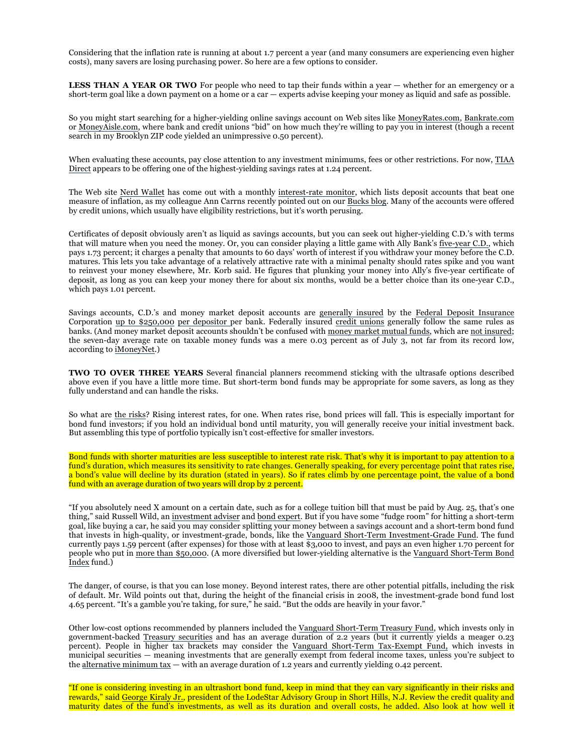Considering that the inflation rate is running at about 1.7 percent a year (and many consumers are experiencing even higher costs), many savers are losing purchasing power. So here are a few options to consider.

**LESS THAN A YEAR OR TWO** For people who need to tap their funds within a year — whether for an emergency or a short-term goal like a down payment on a home or a car — experts advise keeping your money as liquid and safe as possible.

So you might start searching for a higher-yielding online savings account on Web sites like MoneyRates.com, Bankrate.com or MoneyAisle.com, where bank and credit unions "bid" on how much they're willing to pay you in interest (though a recent search in my Brooklyn ZIP code yielded an unimpressive 0.50 percent).

When evaluating these accounts, pay close attention to any investment minimums, fees or other restrictions. For now, TIAA Direct appears to be offering one of the highest-yielding savings rates at 1.24 percent.

The Web site Nerd Wallet has come out with a monthly interest-rate monitor, which lists deposit accounts that beat one measure of inflation, as my colleague Ann Carrns recently pointed out on our Bucks blog. Many of the accounts were offered by credit unions, which usually have eligibility restrictions, but it's worth perusing.

Certificates of deposit obviously aren't as liquid as savings accounts, but you can seek out higher-yielding C.D.'s with terms that will mature when you need the money. Or, you can consider playing a little game with Ally Bank's five-year C.D., which pays 1.73 percent; it charges a penalty that amounts to 60 days' worth of interest if you withdraw your money before the C.D. matures. This lets you take advantage of a relatively attractive rate with a minimal penalty should rates spike and you want to reinvest your money elsewhere, Mr. Korb said. He figures that plunking your money into Ally's five-year certificate of deposit, as long as you can keep your money there for about six months, would be a better choice than its one-year C.D., which pays 1.01 percent.

Savings accounts, C.D.'s and money market deposit accounts are generally insured by the Federal Deposit Insurance Corporation up to \$250,000 per depositor per bank. Federally insured credit unions generally follow the same rules as banks. (And money market deposit accounts shouldn't be confused with money market mutual funds, which are not insured; the seven-day average rate on taxable money funds was a mere 0.03 percent as of July 3, not far from its record low, according to iMoneyNet.)

**TWO TO OVER THREE YEARS** Several financial planners recommend sticking with the ultrasafe options described above even if you have a little more time. But short-term bond funds may be appropriate for some savers, as long as they fully understand and can handle the risks.

So what are the risks? Rising interest rates, for one. When rates rise, bond prices will fall. This is especially important for bond fund investors; if you hold an individual bond until maturity, you will generally receive your initial investment back. But assembling this type of portfolio typically isn't cost-effective for smaller investors.

Bond funds with shorter maturities are less susceptible to interest rate risk. That's why it is important to pay attention to a fund's duration, which measures its sensitivity to rate changes. Generally speaking, for every percentage point that rates rise, a bond's value will decline by its duration (stated in years). So if rates climb by one percentage point, the value of a bond fund with an average duration of two years will drop by 2 percent.

"If you absolutely need X amount on a certain date, such as for a college tuition bill that must be paid by Aug. 25, that's one thing," said Russell Wild, an investment adviser and bond expert. But if you have some "fudge room" for hitting a short-term goal, like buying a car, he said you may consider splitting your money between a savings account and a short-term bond fund that invests in high-quality, or investment-grade, bonds, like the Vanguard Short-Term Investment-Grade Fund. The fund currently pays 1.59 percent (after expenses) for those with at least \$3,000 to invest, and pays an even higher 1.70 percent for people who put in more than \$50,000. (A more diversified but lower-yielding alternative is the Vanguard Short-Term Bond Index fund.)

The danger, of course, is that you can lose money. Beyond interest rates, there are other potential pitfalls, including the risk of default. Mr. Wild points out that, during the height of the financial crisis in 2008, the investment-grade bond fund lost 4.65 percent. "It's a gamble you're taking, for sure," he said. "But the odds are heavily in your favor."

Other low-cost options recommended by planners included the Vanguard Short-Term Treasury Fund, which invests only in government-backed Treasury securities and has an average duration of 2.2 years (but it currently yields a meager 0.23 percent). People in higher tax brackets may consider the Vanguard Short-Term Tax-Exempt Fund, which invests in municipal securities — meaning investments that are generally exempt from federal income taxes, unless you're subject to the alternative minimum tax — with an average duration of 1.2 years and currently yielding 0.42 percent.

"If one is considering investing in an ultrashort bond fund, keep in mind that they can vary significantly in their risks and rewards," said George Kiraly Jr., president of the LodeStar Advisory Group in Short Hills, N.J. Review the credit quality and maturity dates of the fund's investments, as well as its duration and overall costs, he added. Also look at how well it